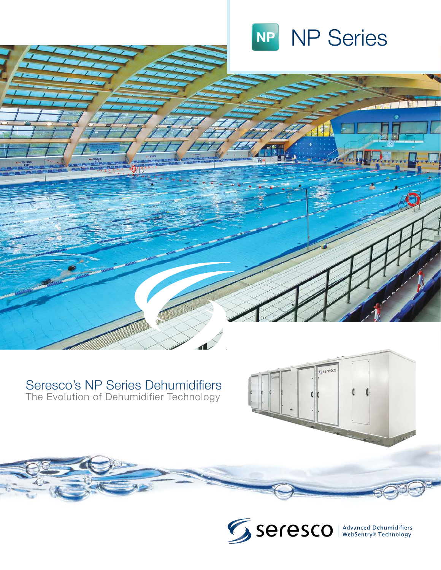

可用

### Seresco's NP Series Dehumidifiers The Evolution of Dehumidifier Technology



Eseresco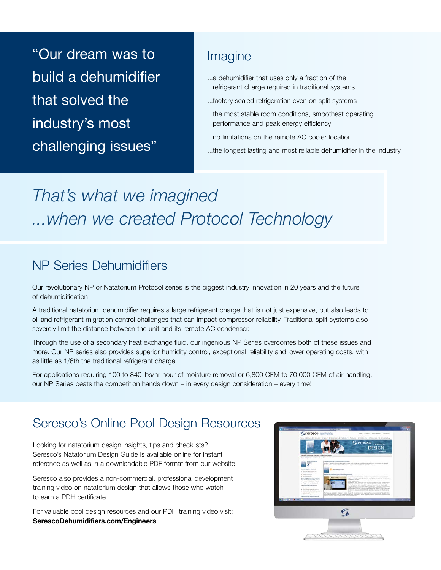"Our dream was to build a dehumidifier that solved the industry's most challenging issues"

## Imagine

- ...a dehumidifier that uses only a fraction of the refrigerant charge required in traditional systems
- ...factory sealed refrigeration even on split systems
- ...the most stable room conditions, smoothest operating performance and peak energy efficiency
- ...no limitations on the remote AC cooler location
- ...the longest lasting and most reliable dehumidifier in the industry

# *That's what we imagined ...when we created Protocol Technology*

# NP Series Dehumidifiers

Our revolutionary NP or Natatorium Protocol series is the biggest industry innovation in 20 years and the future of dehumidification.

A traditional natatorium dehumidifier requires a large refrigerant charge that is not just expensive, but also leads to oil and refrigerant migration control challenges that can impact compressor reliability. Traditional split systems also severely limit the distance between the unit and its remote AC condenser.

Through the use of a secondary heat exchange fluid, our ingenious NP Series overcomes both of these issues and more. Our NP series also provides superior humidity control, exceptional reliability and lower operating costs, with as little as 1/6th the traditional refrigerant charge.

For applications requiring 100 to 840 lbs/hr hour of moisture removal or 6,800 CFM to 70,000 CFM of air handling, our NP Series beats the competition hands down – in every design consideration – every time!

# Seresco's Online Pool Design Resources

Looking for natatorium design insights, tips and checklists? Seresco's Natatorium Design Guide is available online for instant reference as well as in a downloadable PDF format from our website.

Seresco also provides a non-commercial, professional development training video on natatorium design that allows those who watch to earn a PDH certificate.

For valuable pool design resources and our PDH training video visit: **SerescoDehumidifiers.com/Engineers**

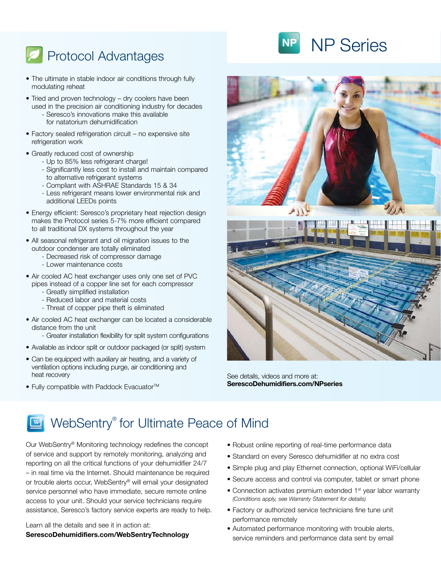# **Protocol Advantages**

- The ultimate in stable indoor air conditions through fully modulating reheat
- Tried and proven technology dry coolers have been used in the precision air conditioning industry for decades
	- Seresco's innovations make this available for natatorium dehumidification
- Factory sealed refrigeration circuit no expensive site refrigeration work
- Greatly reduced cost of ownership
	- Up to 85% less refrigerant charge!
	- Significantly less cost to install and maintain compared to alternative refrigerant systems
	- Compliant with ASHRAE Standards 15 & 34
	- Less refrigerant means lower environmental risk and additional LEEDs points
- Energy efficient: Seresco's proprietary heat rejection design makes the Protocol series 5-7% more efficient compared to all traditional DX systems throughout the year
- All seasonal refrigerant and oil migration issues to the outdoor condenser are totally eliminated
	- Decreased risk of compressor damage
	- Lower maintenance costs
- Air cooled AC heat exchanger uses only one set of PVC pipes instead of a copper line set for each compressor
	- Greatly simplified installation
	- Reduced labor and material costs
	- Threat of copper pipe theft is eliminated
- Air cooled AC heat exchanger can be located a considerable distance from the unit
	- Greater installation flexibility for split system configurations
- Available as indoor split or outdoor packaged (or split) system
- Can be equipped with auxiliary air heating, and a variety of ventilation options including purge, air conditioning and heat recovery
- Fully compatible with Paddock Evacuator<sup>™</sup>



See details, videos and more at: **SerescoDehumidifiers.com/NPseries**

# WebSentry<sup>®</sup> for Ultimate Peace of Mind

Our WebSentry® Monitoring technology redefines the concept of service and support by remotely monitoring, analyzing and reporting on all the critical functions of your dehumidifier 24/7 – in real time via the Internet. Should maintenance be required or trouble alerts occur, WebSentry® will email your designated service personnel who have immediate, secure remote online access to your unit. Should your service technicians require assistance, Seresco's factory service experts are ready to help.

Learn all the details and see it in action at: **SerescoDehumidifiers.com/WebSentryTechnology**

- Robust online reporting of real-time performance data
- Standard on every Seresco dehumidifier at no extra cost
- Simple plug and play Ethernet connection, optional WiFi/cellular
- Secure access and control via computer, tablet or smart phone
- Connection activates premium extended 1<sup>st</sup> year labor warranty *(Conditions apply, see Warranty Statement for details)*
- Factory or authorized service technicians fine tune unit performance remotely
- Automated performance monitoring with trouble alerts, service reminders and performance data sent by email